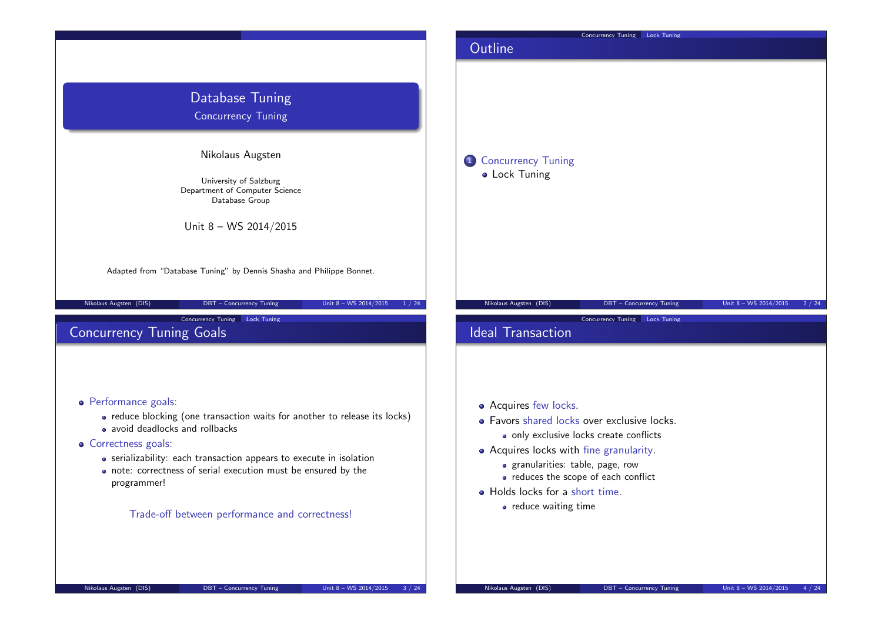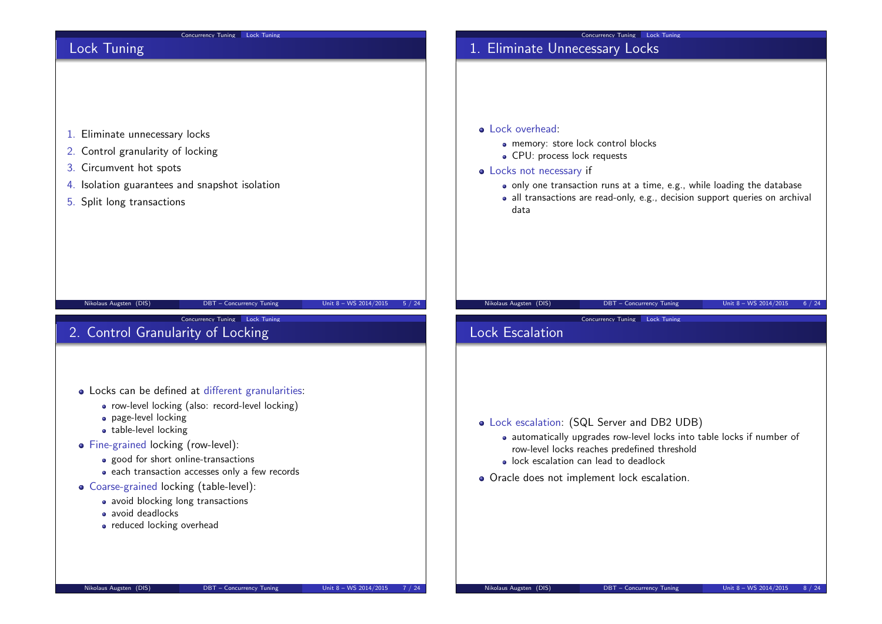| Concurrency Tuning Lock Tuning                                                                                                                                                                                                                                                                                                                                                                                               | Concurrency Tuning Lock Tuning                                                                                                                                                                                                                                                                                           |
|------------------------------------------------------------------------------------------------------------------------------------------------------------------------------------------------------------------------------------------------------------------------------------------------------------------------------------------------------------------------------------------------------------------------------|--------------------------------------------------------------------------------------------------------------------------------------------------------------------------------------------------------------------------------------------------------------------------------------------------------------------------|
| Lock Tuning<br>1. Eliminate unnecessary locks<br>2. Control granularity of locking<br>3. Circumvent hot spots<br>4. Isolation guarantees and snapshot isolation<br>5. Split long transactions                                                                                                                                                                                                                                | 1. Eliminate Unnecessary Locks<br>• Lock overhead:<br>· memory: store lock control blocks<br>• CPU: process lock requests<br>• Locks not necessary if<br>• only one transaction runs at a time, e.g., while loading the database<br>· all transactions are read-only, e.g., decision support queries on archival<br>data |
| Unit 8 - WS 2014/2015<br>Nikolaus Augsten (DIS)<br>DBT - Concurrency Tuning<br>Concurrency Tuning Lock Tuning<br>2. Control Granularity of Locking                                                                                                                                                                                                                                                                           | Nikolaus Augsten (DIS)<br>DBT - Concurrency Tuning<br>Unit 8 - WS 2014/2015<br>5 / 24<br>6 / 24<br>Concurrency Tuning Lock Tuning<br><b>Lock Escalation</b>                                                                                                                                                              |
| • Locks can be defined at different granularities:<br>· row-level locking (also: record-level locking)<br>· page-level locking<br>• table-level locking<br>• Fine-grained locking (row-level):<br>• good for short online-transactions<br>• each transaction accesses only a few records<br>• Coarse-grained locking (table-level):<br>· avoid blocking long transactions<br>• avoid deadlocks<br>• reduced locking overhead | • Lock escalation: (SQL Server and DB2 UDB)<br>· automatically upgrades row-level locks into table locks if number of<br>row-level locks reaches predefined threshold<br>· lock escalation can lead to deadlock<br>• Oracle does not implement lock escalation.                                                          |
| Nikolaus Augsten (DIS)<br>Unit 8 - WS 2014/2015<br>DBT - Concurrency Tuning                                                                                                                                                                                                                                                                                                                                                  | Nikolaus Augsten (DIS)<br>DBT - Concurrency Tuning<br>Unit 8 - WS 2014/2015<br>7 / 24<br>8 / 24                                                                                                                                                                                                                          |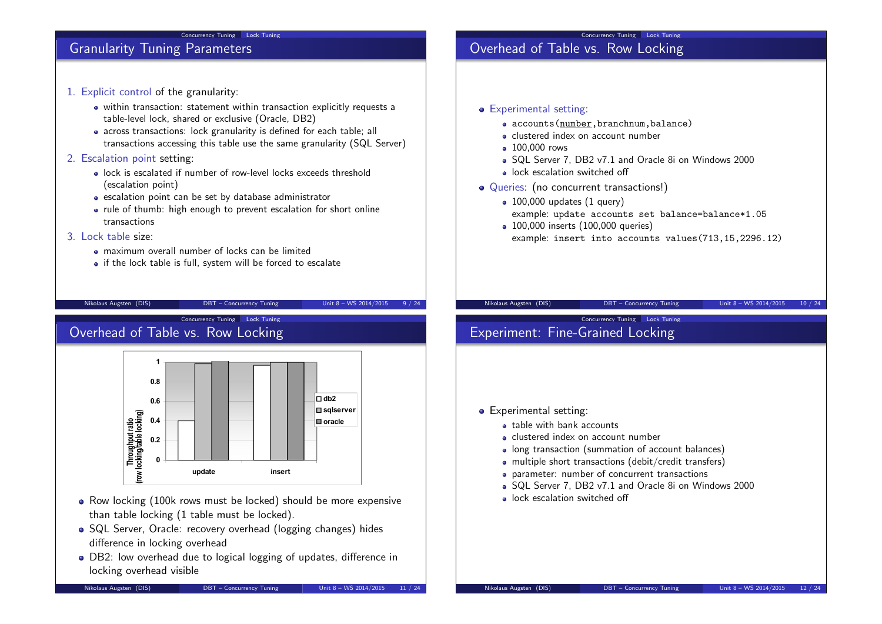#### Concurrency Tuning Lock Tuning

## Granularity Tuning Parameters

- 1. Explicit control of the granularity:
	- within transaction: statement within transaction explicitly requests a table-level lock, shared or exclusive (Oracle, DB2)
	- across transactions: lock granularity is defined for each table; all transactions accessing this table use the same granularity (SQL Server)

## 2. Escalation point setting:

- lock is escalated if number of row-level locks exceeds threshold (escalation point)
- escalation point can be set by database administrator
- rule of thumb: high enough to prevent escalation for short online transactions

## 3. Lock table size:

- maximum overall number of locks can be limited
- if the lock table is full, system will be forced to escalate

Nikolaus Augsten (DIS) DBT – Concurrency Tuning Unit 8 – WS 2014/2015 9 / 24

Concurrency Tuning Lock Tuning

## Overhead of Table vs. Row Locking



- Row locking (100k rows must be locked) should be more expensive than table locking (1 table must be locked).
- SQL Server, Oracle: recovery overhead (logging changes) hides difference in locking overhead
- DB2: low overhead due to logical logging of updates, difference in locking overhead visible

# Overhead of Table vs. Row Locking

- **•** Experimental setting:
	- accounts(number,branchnum,balance)
	- clustered index on account number
	- 100,000 rows
	- SQL Server 7, DB2 v7.1 and Oracle 8i on Windows 2000

Concurrency Tuning Lock Tuning

- lock escalation switched off
- Queries: (no concurrent transactions!)
	- $\bullet$  100,000 updates (1 query) example: update accounts set balance=balance\*1.05
	- 100,000 inserts (100,000 queries) example: insert into accounts values(713,15,2296.12)

Concurrency Tuning Lock Tuning

#### Nikolaus Augsten (DIS) DBT – Concurrency Tuning Unit 8 – WS 2014/2015 10 / 24

# Experiment: Fine-Grained Locking

#### • Experimental setting:

- table with bank accounts
- clustered index on account number
- long transaction (summation of account balances)
- multiple short transactions (debit/credit transfers)
- parameter: number of concurrent transactions
- SQL Server 7, DB2 v7.1 and Oracle 8i on Windows 2000
- lock escalation switched off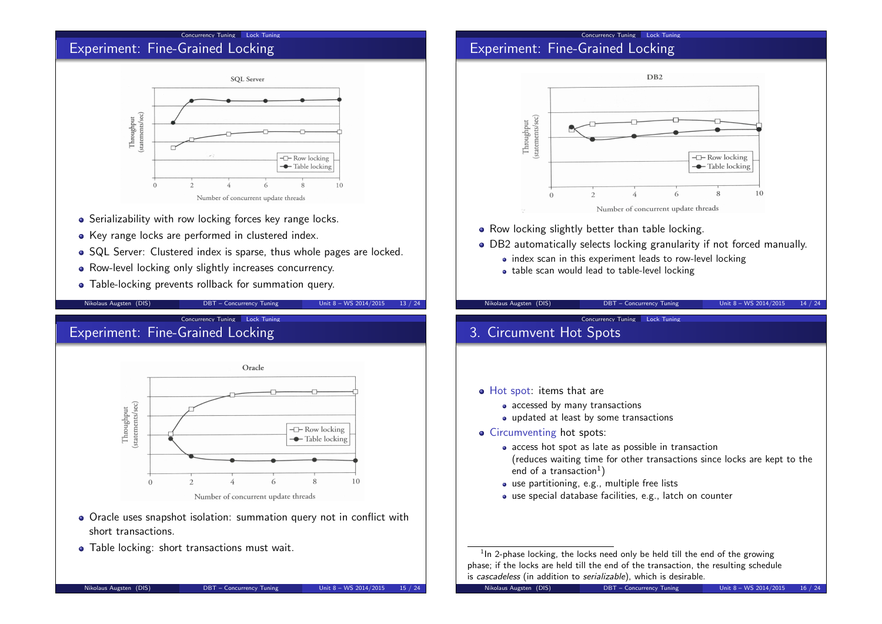#### Concurrency Tuning Lock Tuning

## Experiment: Fine-Grained Locking



- Serializability with row locking forces key range locks.
- Key range locks are performed in clustered index.
- SQL Server: Clustered index is sparse, thus whole pages are locked.
- Row-level locking only slightly increases concurrency.
- Table-locking prevents rollback for summation query.

Nikolaus Augsten (DIS) DBT – Concurrency Tuning Unit 8 – WS 2014/2015 13 / 24

Concurrency Tuning Lock Tuning

## Experiment: Fine-Grained Locking



- Oracle uses snapshot isolation: summation query not in conflict with short transactions.
- Table locking: short transactions must wait.

## Concurrency Tuning Lock Tuning Experiment: Fine-Grained Locking



DB2 automatically selects locking granularity if not forced manually.

Nikolaus Augsten (DIS) DBT – Concurrency Tuning Unit 8 – WS 2014/2015 14 / 24

• index scan in this experiment leads to row-level locking

Concurrency Tuning Lock Tuning

• table scan would lead to table-level locking

# 3. Circumvent Hot Spots

- Hot spot: items that are
	- accessed by many transactions
	- updated at least by some transactions
- Circumventing hot spots:
	- access hot spot as late as possible in transaction (reduces waiting time for other transactions since locks are kept to the
	- end of a transaction $^1)$ use partitioning, e.g., multiple free lists
	- use special database facilities, e.g., latch on counter

 $1$ In 2-phase locking, the locks need only be held till the end of the growing phase; if the locks are held till the end of the transaction, the resulting schedule is cascadeless (in addition to serializable), which is desirable.

Nikolaus Augsten (DIS) DBT – Concurrency Tuning Unit 8 – WS 2014/2015 15 / 24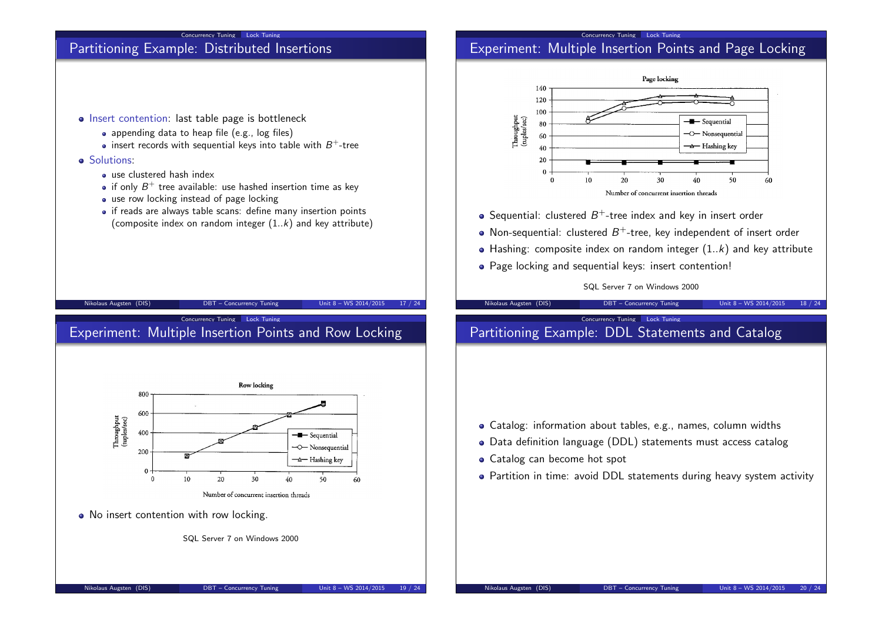

#### Concurrency Tuning Lock Tuning Experiment: Multiple Insertion Points and Page Locking





- appending data to heap file (e.g., log files)
- insert records with sequential keys into table with  $B^+$ -tree

Concurrency Tuning Lock Tuning

### **o** Solutions:

- use clustered hash index
- if only  $B^+$  tree available: use hashed insertion time as key
- use row locking instead of page locking
- if reads are always table scans: define many insertion points (composite index on random integer  $(1..k)$  and key attribute)





• No insert contention with row locking.

SQL Server 7 on Windows 2000